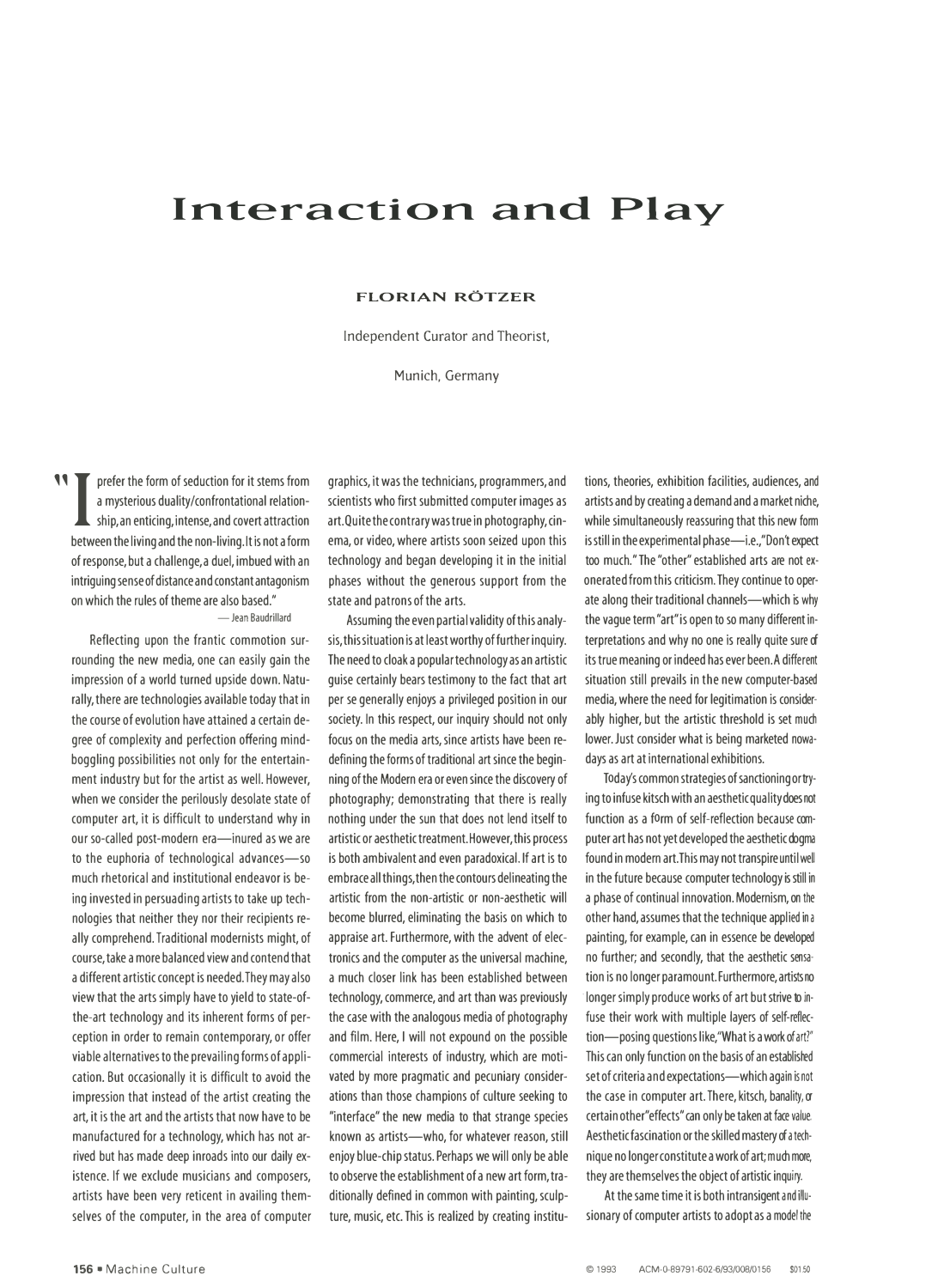## **Interaction and Play**

## **FLORIAN ROTZER**

Independent Curator and Theorist,

Munich, Germany

**11** prefer the form of seduction for it stems from<br>a mysterious duality/confrontational relation-<br>ship, an enticing, intense, and covert attraction<br>between the living and the non-living It is not a form a mysterious duality/confrontational relationship,an enticing, intense,and covert attraction between the living and the non-living. It is not a form of response, but a challenge,a duel, imbued with an intriguing sense of distance and constant antagonism on which the rules of theme are also based." - Jean Baudrillard

Reflecting upon the frantic commotion surrounding the new media, one can easily gain the impression of a world turned upside down. Naturally, there are technologies available today that in the course of evolution have attained a certain degree of complexity and perfection offering mindboggling possibilities not only for the entertainment industry but for the artist as well. However, when we consider the perilously desolate state of computer art, it is difficult to understand why in our so-called post-modern era-inured as we are to the euphoria of technological advances-so much rhetorical and institutional endeavor is being invested in persuading artists to take up technologies that neither they nor their recipients really comprehend. Traditional modernists might, of course, take a more balanced view and contend that a different artistic concept is needed. They may also view that the arts simply have to yield to state-ofthe-art technology and its inherent forms of perception in order to remain contemporary, or offer viable alternatives to the prevailing forms of application. But occasionally it is difficult to avoid the impression that instead of the artist creating the art, it is the art and the artists that now have to be manufactured for a technology, which has not arrived but has made deep inroads into our daily existence. If we exclude musicians and composers, artists have been very reticent in availing themselves of the computer, in the area of computer

graphics, it was the technicians, programmers,and scientists who first submitted computer images as art. Quite the contrary was true in photography, cinema, or video, where artists soon seized upon this technology and began developing it in the initial phases without the generous support from the state and patrons of the arts.

Assuming the even partial validity of this analysis, this situation is at least worthy of further inquiry. The need to cloak a popular technology as an artistic guise certainly bears testimony to the fact that art per se generally enjoys a privileged position in our society. In this respect, our inquiry should not only focus on the media arts, since artists have been redefining the forms of traditional art since the beginning of the Modern era or even since the discovery of photography; demonstrating that there is really nothing under the sun that does not lend itself to artistic or aesthetic treatment. However, this process is both ambivalent and even paradoxical. If art is to embrace all things, then the contours delineating the artistic from the non-artistic or non-aesthetic will become blurred, eliminating the basis on which to appraise art. Furthermore, with the advent of electronics and the computer as the universal machine, a much closer link has been established between technology, commerce, and art than was previously the case with the analogous media of photography and film. Here, I will not expound on the possible commercial interests of industry, which are motivated by more pragmatic and pecuniary considerations than those champions of culture seeking to "interface" the new media to that strange species known as artists-who, for whatever reason, still enjoy blue-chip status. Perhaps we will only be able to observe the establishment of a new art form, traditionally defined in common with painting, sculpture, music, etc. This is realized by creating institutions, theories, exhibition facilities, audiences, and artists and by creating a demand and a market niche, while simultaneously reassuring that this new form is still in the experimental phase-i.e.,"Don't expect too much."The"other" established arts are not exonerated from this criticism. They continue to operate along their traditional channels-which is why the vague term"art"is open to so many different interpretations and why no one is really quite sure of its true meaning or indeed has ever been.A different situation still prevails in the new computer-based media, where the need for legitimation is considerably higher, but the artistic threshold is set much lower. Just consider what is being marketed nowadays as art at international exhibitions.

Today's common strategies of sanctioning or trying to infuse kitsch with an aesthetic quality does not function as a form of self-reflection because computer art has not yet developed the aesthetic dogma found in modern art. This may not transpire until well in the future because computer technology is still in a phase of continual innovation. Modernism, on the other hand, assumes that the technique applied in a painting, for example, can in essence be developed no further; and secondly, that the aesthetic sensation is no longer paramount. Furthermore, artists no · longer simply produce works of art but strive to infuse their work with multiple layers of self-reflection-posing questions like,"What is a work of art?" This can only function on the basis of an established set of criteria and expectations-which again is not the case in computer art. There, kitsch, banality, or certain other"effects" can only be taken at face value. Aestheticfascination or the skilled mastery of a technique no longer constitute a work of art; much more, they are themselves the object of artistic inquiry.

At the same time it is both intransigent and illusionary of computer artists to adopt as a model the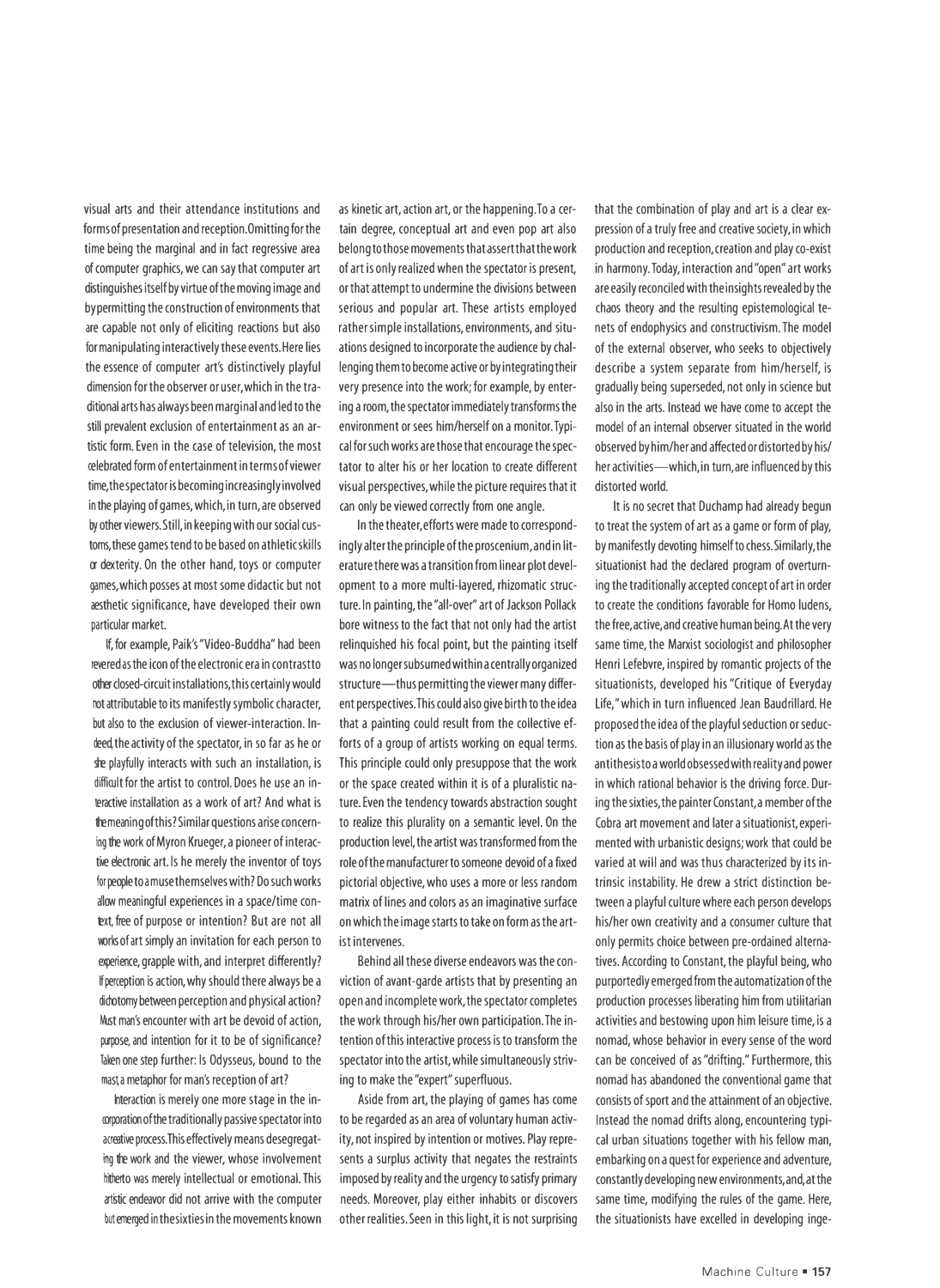visual arts and their attendance institutions and forms of presentation and reception. Omitting for the time being the marginal and in fact regressive area of computer graphics, we can say that computer art distinguishes itself by virtue of the moving image and by permitting the construction of environments that are capable not only of eliciting reactions but also for manipulating interactively these events.Here lies the essence of computer art's distinctively playful dimension for the observer or user, which in the traditional arts has always been marginal and led to the still prevalent exclusion of entertainment as an artistic form. Even in the case of television, the most celebrated form of entertainment in terms of viewer time, the spectator is becoming increasingly involved in the playing of games, which, in turn, are observed by other viewers.Still, in keeping with our social customs, these games tend to be based on athletic skills or dexterity. On the other hand, toys or computer games, which posses at most some didactic but not aesthetic significance, have developed their own particular market.

If, for example, Paik's "Video-Buddha" had been revered as the icon of the electronic era in contrastto other closed-circuit installations, this certainly would not attributable to its manifestly symbolic character, but also to the exclusion of viewer-interaction. Indeed, the activity of the spectator, in so far as he or she playfully interacts with such an installation, is difficult for the artist to control. Does he use an interactive installation as a work of art? And what is the meaning of this? Similar questions arise concerning the work of Myron Krueger, a pioneer of interactive electronic art. ls he merely the inventor of toys for people to amuse themselves with? Do such works allow meaningful experiences in a space/time context, free of purpose or intention? But are not all works of art simply an invitation for each person to experience, grapple with, and interpret differently? If perception is action, why should there always be a didotomy between perception and physical action? Must man's encounter with art be devoid of action, purpose, and intention for it to be of significance? Taken one step further: Is Odysseus, bound to the mast a metaphor for man's reception of art?

Interaction is merely one more stage in the incorporation of the traditionally passive spectator into acreative process. This effectively means desegregating the work and the viewer, whose involvement hitherto was merely intellectual or emotional. This ar tistic endeavor did not arrive with the computer but emerged in the sixties in the movements known as kinetic art, action art, or the happening. To a certain degree, conceptual art and even pop art also belong to those movements that assert that the work of art is only realized when the spectator is present, or that attempt to undermine the divisions between serious and popular art. These artists employed rather simple installations, environments, and situations designed to incorporate the audience by challenging them to become active or by integrating their very presence into the work; for example, by entering a room, the spectator immediately transforms the environment or sees him/herself on a monitor. Typical for such works are those that encourage the spectator to alter his or her location to create different visual perspectives, while the picture requires that it can only be viewed correctly from one angle.

In the theater, efforts were made to correspondingly alter the principle of the proscenium.and in literature there was a transition from linear plot development to a more multi-layered, rhizomatic structure. In painting, the "all-over" art of Jackson Pollack bore witness to the fact that not only had the artist relinquished his focal point, but the painting itself was no longer subsumed within a centrally organized structure-thus permitting the viewer many different perspectives.This could also give birth to the idea that a painting could result from the collective efforts of a group of artists working on equal terms. This principle could only presuppose that the work or the space created within it is of a pluralistic nature. Even the tendency towards abstraction sought to realize this plurality on a semantic level. On the production level, the artist was transformed from the role of the manufacturer to someone devoid ofa fixed pictorial objective, who uses a more or less random matrix of lines and colors as an imaginative surface on which the image starts to take on form as the artist intervenes.

Behind all these diverse endeavors was the conviction of avant-garde artists that by presenting an open and incomplete work, the spectator completes the work through his/her own participation. The intention of this interactive process is to transform the spectator into the artist, while simultaneously striving to make the "expert" superfluous.

Aside from art, the playing of games has come to be regarded as an area of voluntary human activity, not inspired by intention or motives. Play represents a surplus activity that negates the restraints imposed by reality and the urgency to satisfy primary needs. Moreover, play either inhabits or discovers other realities. Seen in this light, it is not surprising

that the combination of play and art is a clear expression of a truly free and creative society, in which production and reception, creation and play co-exist in harmony. Today, interaction and "open" art works are easily reconciled with the insights revealed by the chaos theory and the resulting epistemological tenets of endophysics and constructivism. The model of the external observer, who seeks to objectively describe a system separate from him/herself, is gradually being superseded, not only in science but also in the arts. Instead we have come to accept the model of an internal observer situated in the world observed by him/her and affected or distorted by his/ her activities-which, in turn, are influenced by this distorted world.

It is no secret that Duchamp had already begun to treat the system of art as a game or form of play, by manifestly devoting himself to chess.Similarly, the situationist had the declared program of overturning the traditionally accepted concept of art in order to create the conditions favorable for Homo ludens, the free,active,and creative human being.At the very same time, the Marxist sociologist and philosopher Henri Lefebvre, inspired by romantic projects of the situationists, developed his "Critique of Everyday Life," which in turn influenced Jean Baudrillard. He proposed the idea of the playful seduction or seduction as the basis of play in an illusionary world as the antithesis to a world obsessed with reality and power in which rational behavior is the driving force. During the sixties, the painter Constant.a member of the Cobra art movement and later a situationist, experimented with urbanistic designs;work that could be varied at will and was thus characterized by its intrinsic instability. He drew a strict distinction between a playful culture where each person develops his/her own creativity and a consumer culture that only permits choice between pre-ordained alternatives. According to Constant, the playful being, who purportedly emerged from the automatization of the production processes liberating him from utilitarian activities and bestowing upon him leisure time, is a nomad, whose behavior in every sense of the word can be conceived of as "drifting." Furthermore, this nomad has abandoned the conventional game that consists of sport and the attainment of an objective. Instead the nomad drifts along, encountering typical urban situations together with his fellow man, embarking on a quest for experience and adventure, constantly developing new environments,and,atthe same time, modifying the rules of the game. Here, the situationists have excelled in developing inge